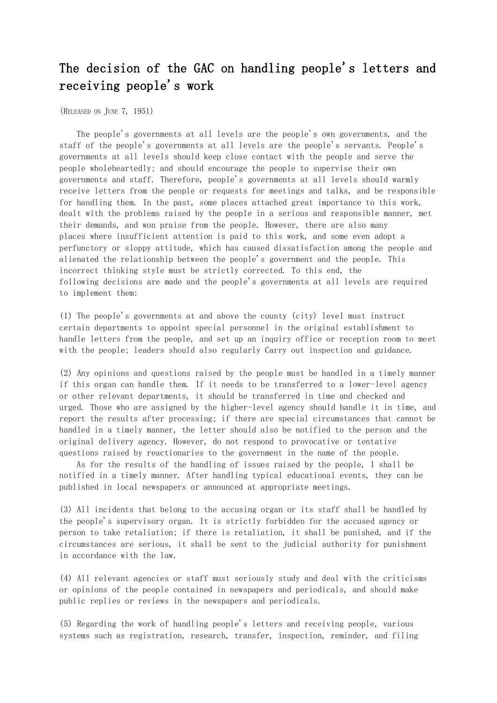## The decision of the GAC on handling people's letters and receiving people's work

(RELEASED ON JUNE 7, 1951)

 The people's governments at all levels are the people's own governments, and the staff of the people's governments at all levels are the people's servants. People's governments at all levels should keep close contact with the people and serve the people wholeheartedly; and should encourage the people to supervise their own governments and staff. Therefore, people's governments at all levels should warmly receive letters from the people or requests for meetings and talks, and be responsible for handling them. In the past, some places attached great importance to this work, dealt with the problems raised by the people in a serious and responsible manner, met their demands, and won praise from the people. However, there are also many places where insufficient attention is paid to this work, and some even adopt a perfunctory or sloppy attitude, which has caused dissatisfaction among the people and alienated the relationship between the people's government and the people. This incorrect thinking style must be strictly corrected. To this end, the following decisions are made and the people's governments at all levels are required to implement them:

(1) The people's governments at and above the county (city) level must instruct certain departments to appoint special personnel in the original establishment to handle letters from the people, and set up an inquiry office or reception room to meet with the people; leaders should also regularly Carry out inspection and guidance.

(2) Any opinions and questions raised by the people must be handled in a timely manner if this organ can handle them. If it needs to be transferred to a lower-level agency or other relevant departments, it should be transferred in time and checked and urged. Those who are assigned by the higher-level agency should handle it in time, and report the results after processing; if there are special circumstances that cannot be handled in a timely manner, the letter should also be notified to the person and the original delivery agency. However, do not respond to provocative or tentative questions raised by reactionaries to the government in the name of the people.

 As for the results of the handling of issues raised by the people, I shall be notified in a timely manner. After handling typical educational events, they can be published in local newspapers or announced at appropriate meetings.

(3) All incidents that belong to the accusing organ or its staff shall be handled by the people's supervisory organ. It is strictly forbidden for the accused agency or person to take retaliation; if there is retaliation, it shall be punished, and if the circumstances are serious, it shall be sent to the judicial authority for punishment in accordance with the law.

(4) All relevant agencies or staff must seriously study and deal with the criticisms or opinions of the people contained in newspapers and periodicals, and should make public replies or reviews in the newspapers and periodicals.

(5) Regarding the work of handling people's letters and receiving people, various systems such as registration, research, transfer, inspection, reminder, and filing